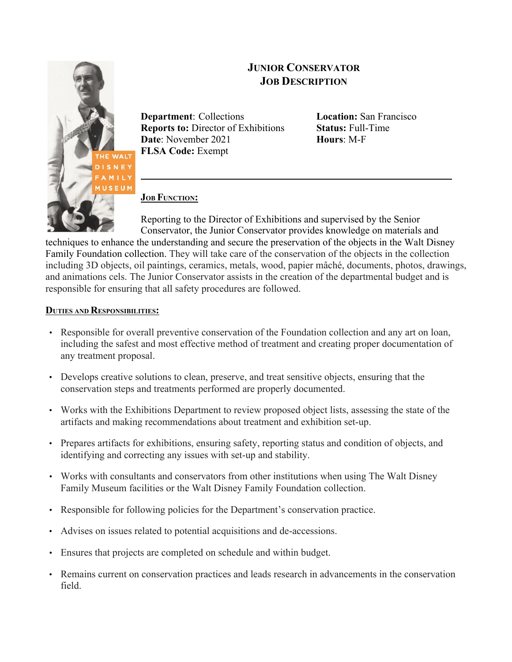

# **JUNIOR CONSERVATOR JOB DESCRIPTION**

**Department**: Collections **Location:** San Francisco **Reports to:** Director of Exhibitions **Status:** Full-Time **Date**: November 2021 **Hours**: M-F **FLSA Code:** Exempt

**\_\_\_\_\_\_\_\_\_\_\_\_\_\_\_\_\_\_\_\_\_\_\_\_\_\_\_\_\_\_\_\_\_**

# **JOB FUNCTION:**

Reporting to the Director of Exhibitions and supervised by the Senior Conservator, the Junior Conservator provides knowledge on materials and

techniques to enhance the understanding and secure the preservation of the objects in the Walt Disney Family Foundation collection. They will take care of the conservation of the objects in the collection including 3D objects, oil paintings, ceramics, metals, wood, papier mâché, documents, photos, drawings, and animations cels. The Junior Conservator assists in the creation of the departmental budget and is responsible for ensuring that all safety procedures are followed.

# **DUTIES AND RESPONSIBILITIES:**

- Responsible for overall preventive conservation of the Foundation collection and any art on loan, including the safest and most effective method of treatment and creating proper documentation of any treatment proposal.
- Develops creative solutions to clean, preserve, and treat sensitive objects, ensuring that the conservation steps and treatments performed are properly documented.
- Works with the Exhibitions Department to review proposed object lists, assessing the state of the artifacts and making recommendations about treatment and exhibition set-up.
- Prepares artifacts for exhibitions, ensuring safety, reporting status and condition of objects, and identifying and correcting any issues with set-up and stability.
- Works with consultants and conservators from other institutions when using The Walt Disney Family Museum facilities or the Walt Disney Family Foundation collection.
- Responsible for following policies for the Department's conservation practice.
- Advises on issues related to potential acquisitions and de-accessions.
- Ensures that projects are completed on schedule and within budget.
- Remains current on conservation practices and leads research in advancements in the conservation field.